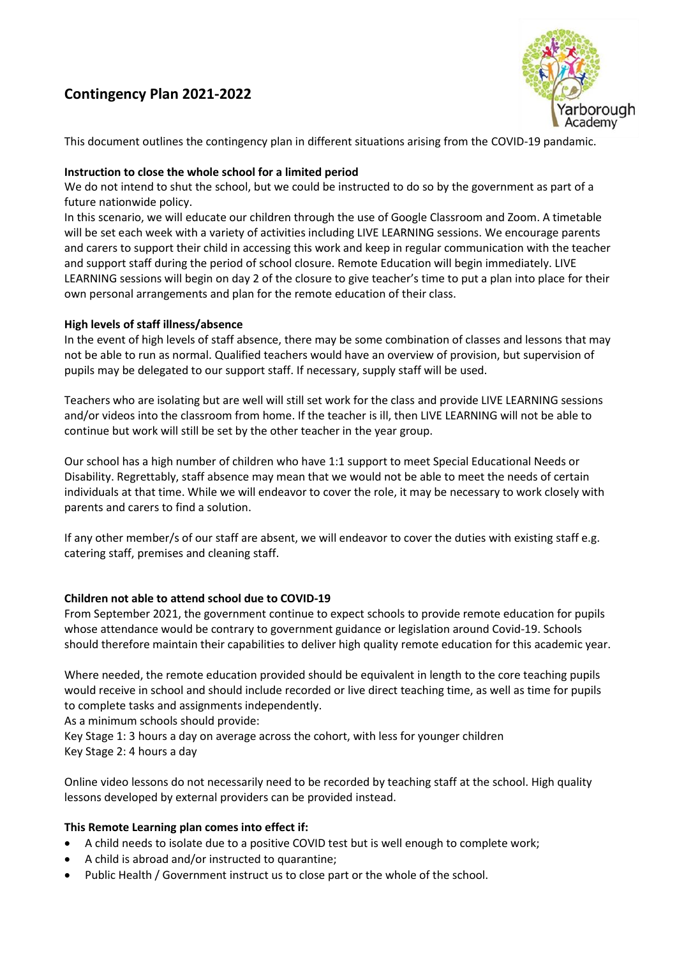## **Contingency Plan 2021-2022**



This document outlines the contingency plan in different situations arising from the COVID-19 pandamic.

#### **Instruction to close the whole school for a limited period**

We do not intend to shut the school, but we could be instructed to do so by the government as part of a future nationwide policy.

In this scenario, we will educate our children through the use of Google Classroom and Zoom. A timetable will be set each week with a variety of activities including LIVE LEARNING sessions. We encourage parents and carers to support their child in accessing this work and keep in regular communication with the teacher and support staff during the period of school closure. Remote Education will begin immediately. LIVE LEARNING sessions will begin on day 2 of the closure to give teacher's time to put a plan into place for their own personal arrangements and plan for the remote education of their class.

#### **High levels of staff illness/absence**

In the event of high levels of staff absence, there may be some combination of classes and lessons that may not be able to run as normal. Qualified teachers would have an overview of provision, but supervision of pupils may be delegated to our support staff. If necessary, supply staff will be used.

Teachers who are isolating but are well will still set work for the class and provide LIVE LEARNING sessions and/or videos into the classroom from home. If the teacher is ill, then LIVE LEARNING will not be able to continue but work will still be set by the other teacher in the year group.

Our school has a high number of children who have 1:1 support to meet Special Educational Needs or Disability. Regrettably, staff absence may mean that we would not be able to meet the needs of certain individuals at that time. While we will endeavor to cover the role, it may be necessary to work closely with parents and carers to find a solution.

If any other member/s of our staff are absent, we will endeavor to cover the duties with existing staff e.g. catering staff, premises and cleaning staff.

#### **Children not able to attend school due to COVID-19**

From September 2021, the government continue to expect schools to provide remote education for pupils whose attendance would be contrary to government guidance or legislation around Covid-19. Schools should therefore maintain their capabilities to deliver high quality remote education for this academic year.

Where needed, the remote education provided should be equivalent in length to the core teaching pupils would receive in school and should include recorded or live direct teaching time, as well as time for pupils to complete tasks and assignments independently.

As a minimum schools should provide:

Key Stage 1: 3 hours a day on average across the cohort, with less for younger children Key Stage 2: 4 hours a day

Online video lessons do not necessarily need to be recorded by teaching staff at the school. High quality lessons developed by external providers can be provided instead.

#### **This Remote Learning plan comes into effect if:**

- A child needs to isolate due to a positive COVID test but is well enough to complete work;
- A child is abroad and/or instructed to quarantine;
- Public Health / Government instruct us to close part or the whole of the school.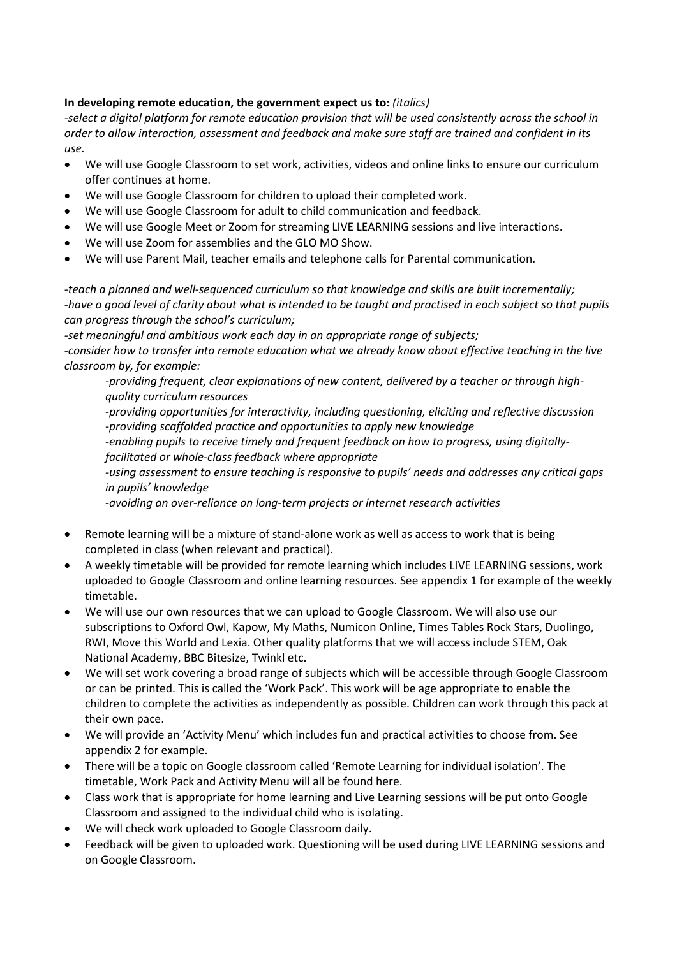### **In developing remote education, the government expect us to:** *(italics)*

*-select a digital platform for remote education provision that will be used consistently across the school in order to allow interaction, assessment and feedback and make sure staff are trained and confident in its use.* 

- We will use Google Classroom to set work, activities, videos and online links to ensure our curriculum offer continues at home.
- We will use Google Classroom for children to upload their completed work.
- We will use Google Classroom for adult to child communication and feedback.
- We will use Google Meet or Zoom for streaming LIVE LEARNING sessions and live interactions.
- We will use Zoom for assemblies and the GLO MO Show.
- We will use Parent Mail, teacher emails and telephone calls for Parental communication.

*-teach a planned and well-sequenced curriculum so that knowledge and skills are built incrementally; -have a good level of clarity about what is intended to be taught and practised in each subject so that pupils can progress through the school's curriculum;*

*-set meaningful and ambitious work each day in an appropriate range of subjects; -consider how to transfer into remote education what we already know about effective teaching in the live classroom by, for example:*

*-providing frequent, clear explanations of new content, delivered by a teacher or through highquality curriculum resources*

*-providing opportunities for interactivity, including questioning, eliciting and reflective discussion -providing scaffolded practice and opportunities to apply new knowledge*

*-enabling pupils to receive timely and frequent feedback on how to progress, using digitallyfacilitated or whole-class feedback where appropriate*

*-using assessment to ensure teaching is responsive to pupils' needs and addresses any critical gaps in pupils' knowledge*

*-avoiding an over-reliance on long-term projects or internet research activities*

- Remote learning will be a mixture of stand-alone work as well as access to work that is being completed in class (when relevant and practical).
- A weekly timetable will be provided for remote learning which includes LIVE LEARNING sessions, work uploaded to Google Classroom and online learning resources. See appendix 1 for example of the weekly timetable.
- We will use our own resources that we can upload to Google Classroom. We will also use our subscriptions to Oxford Owl, Kapow, My Maths, Numicon Online, Times Tables Rock Stars, Duolingo, RWI, Move this World and Lexia. Other quality platforms that we will access include STEM, Oak National Academy, BBC Bitesize, Twinkl etc.
- We will set work covering a broad range of subjects which will be accessible through Google Classroom or can be printed. This is called the 'Work Pack'. This work will be age appropriate to enable the children to complete the activities as independently as possible. Children can work through this pack at their own pace.
- We will provide an 'Activity Menu' which includes fun and practical activities to choose from. See appendix 2 for example.
- There will be a topic on Google classroom called 'Remote Learning for individual isolation'. The timetable, Work Pack and Activity Menu will all be found here.
- Class work that is appropriate for home learning and Live Learning sessions will be put onto Google Classroom and assigned to the individual child who is isolating.
- We will check work uploaded to Google Classroom daily.
- Feedback will be given to uploaded work. Questioning will be used during LIVE LEARNING sessions and on Google Classroom.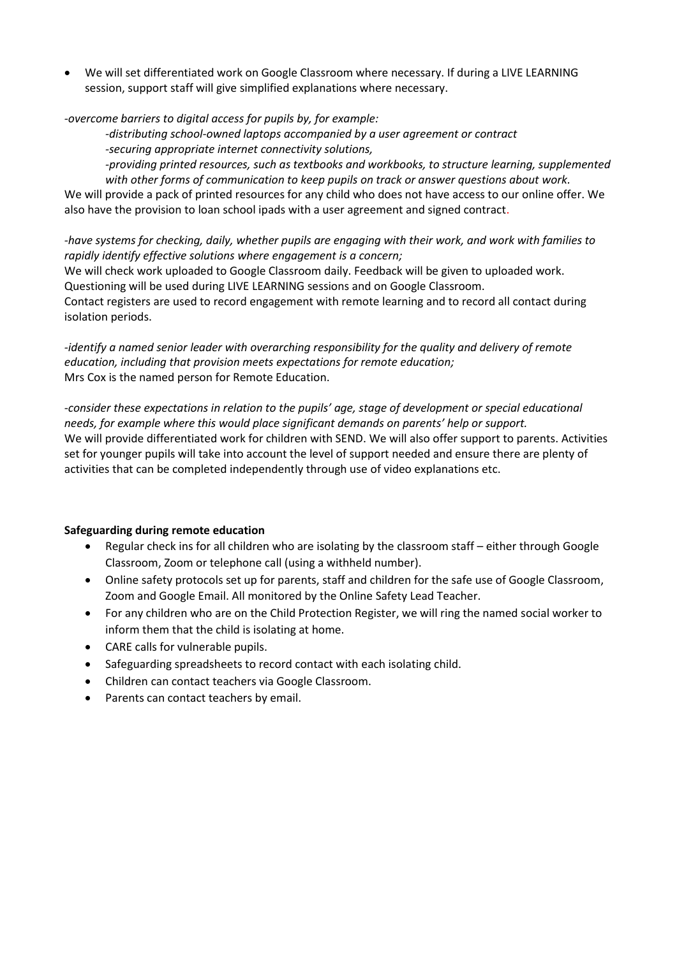We will set differentiated work on Google Classroom where necessary. If during a LIVE LEARNING session, support staff will give simplified explanations where necessary.

*-overcome barriers to digital access for pupils by, for example:*

*-distributing school-owned laptops accompanied by a user agreement or contract -securing appropriate internet connectivity solutions,*

*-providing printed resources, such as textbooks and workbooks, to structure learning, supplemented with other forms of communication to keep pupils on track or answer questions about work.*

We will provide a pack of printed resources for any child who does not have access to our online offer. We also have the provision to loan school ipads with a user agreement and signed contract.

*-have systems for checking, daily, whether pupils are engaging with their work, and work with families to rapidly identify effective solutions where engagement is a concern;* We will check work uploaded to Google Classroom daily. Feedback will be given to uploaded work.

Questioning will be used during LIVE LEARNING sessions and on Google Classroom. Contact registers are used to record engagement with remote learning and to record all contact during isolation periods.

*-identify a named senior leader with overarching responsibility for the quality and delivery of remote education, including that provision meets expectations for remote education;* Mrs Cox is the named person for Remote Education.

*-consider these expectations in relation to the pupils' age, stage of development or special educational needs, for example where this would place significant demands on parents' help or support.* We will provide differentiated work for children with SEND. We will also offer support to parents. Activities set for younger pupils will take into account the level of support needed and ensure there are plenty of activities that can be completed independently through use of video explanations etc.

#### **Safeguarding during remote education**

- Regular check ins for all children who are isolating by the classroom staff either through Google Classroom, Zoom or telephone call (using a withheld number).
- Online safety protocols set up for parents, staff and children for the safe use of Google Classroom, Zoom and Google Email. All monitored by the Online Safety Lead Teacher.
- For any children who are on the Child Protection Register, we will ring the named social worker to inform them that the child is isolating at home.
- CARE calls for vulnerable pupils.
- Safeguarding spreadsheets to record contact with each isolating child.
- Children can contact teachers via Google Classroom.
- Parents can contact teachers by email.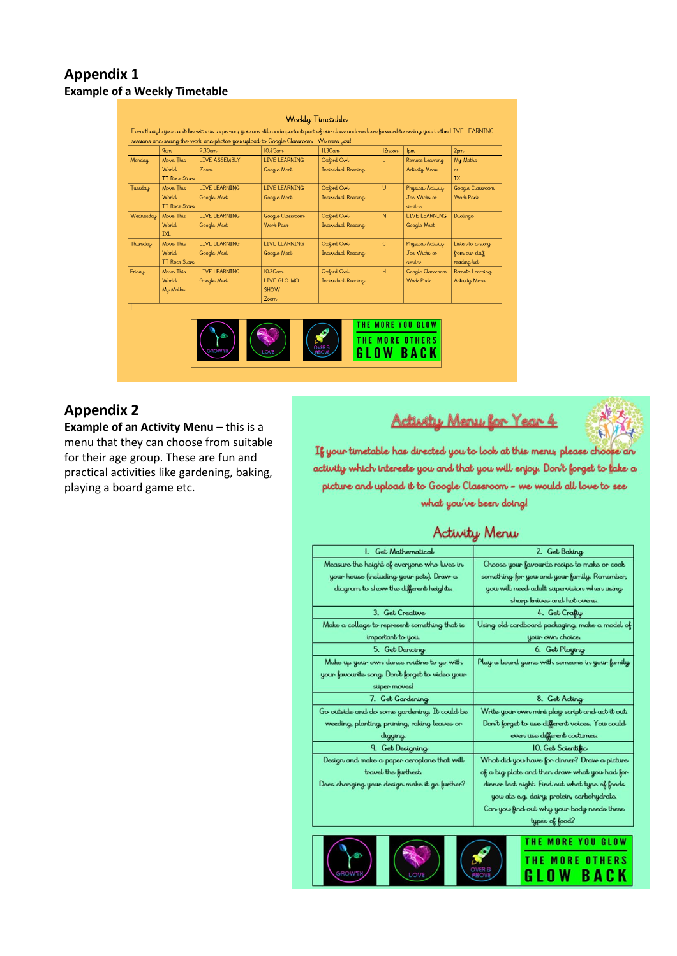### **Appendix 1 Example of a Weekly Timetable**

|           |                      |                        |                                                                                      | Even though you can't be with us in person, you are still an important part of our class and we look forward to seeing you in the LIVE LEARNING |           |                      |                   |
|-----------|----------------------|------------------------|--------------------------------------------------------------------------------------|-------------------------------------------------------------------------------------------------------------------------------------------------|-----------|----------------------|-------------------|
|           |                      |                        | sessions and seeing the work and photos you upload to Google Classroom. We miss you! |                                                                                                                                                 |           |                      |                   |
|           | $q_{\text{arm}}$     | $9.30$ am              | $10.45$ am                                                                           | II.30am                                                                                                                                         | $12$ noon | lmn                  | 2 <sub>pm</sub>   |
| Monday    | Move This            | <b>LIVE ASSEMBLY</b>   | <b>LIVE LEARNING</b>                                                                 | Oxford Owl                                                                                                                                      | L         | Remote Learning      | My Maths          |
|           | World.               | 7 <sub>o</sub> cm      | Google Meet                                                                          | Individual Reading                                                                                                                              |           | Activity Menu        | $\alpha$          |
|           | <b>TT Rock Stars</b> |                        |                                                                                      |                                                                                                                                                 |           |                      | <b>TXI</b>        |
| Tuesday   | Move This            | <b>I TVF I FARNING</b> | <b>I TVF I FARNTNG</b>                                                               | Oxford Owl                                                                                                                                      | U         | Physical Activity    | Google Classroom  |
|           | World                | Google Meet            | Google Meet                                                                          | Individual Reading                                                                                                                              |           | Joe Wicks or         | Work Pack         |
|           | <b>TT Rock Stars</b> |                        |                                                                                      |                                                                                                                                                 |           | similar              |                   |
| Wednesday | Move This            | <b>LIVE LEARNING</b>   | Google Classroom                                                                     | Oxford Owl                                                                                                                                      | N         | <b>LIVE LEARNING</b> | Duolingo          |
|           | World.               | Google Meet            | Work, Pack,                                                                          | Individual Reading                                                                                                                              |           | Google Meet          |                   |
|           | <b>TXI</b>           |                        |                                                                                      |                                                                                                                                                 |           |                      |                   |
| Thursday  | Move This            | <b>I TVF I FARNING</b> | <b>I TVF I FARNTNG</b>                                                               | Oxford Owl                                                                                                                                      | C         | Physical Activity    | Listen to a story |
|           | World                | Google Meet            | Google Meet                                                                          | Individual Reading                                                                                                                              |           | Joe Wicks or         | from our staff    |
|           | <b>TT Rock Stars</b> |                        |                                                                                      |                                                                                                                                                 |           | similar              | reading list      |
| Friday    | Move This            | <b>LIVE LEARNING</b>   | $10.30$ am                                                                           | Oxford Owl                                                                                                                                      | H         | Google Classroom     | Remote Learning   |
|           | World.               | Google Meet            | LIVE GLO MO                                                                          | Individual Reading                                                                                                                              |           | Work Pack            | Activity Menu     |
|           | My Maths             |                        | <b>SHOW</b>                                                                          |                                                                                                                                                 |           |                      |                   |
|           |                      |                        | Z <sub>oom</sub>                                                                     |                                                                                                                                                 |           |                      |                   |



### **Appendix 2**

**Example of an Activity Menu** – this is a menu that they can choose from suitable for their age group. These are fun and practical activities like gardening, baking, playing a board game etc.

# Activity Menu for Year 4



If your timetable has directed you to look at this menu, please choo **Le dru** activity which interests you and that you will enjoy. Don't forget to take a picture and upload it to Google Classroom - we would all love to see what you've been doing!

### Activity Menu

| I. Get Mathematical                             | 2. Get Baking                                   |  |  |  |
|-------------------------------------------------|-------------------------------------------------|--|--|--|
| Measure the height of everyone who lives in     | Choose your favourite recipe to make or cook    |  |  |  |
| your house (including your pets). Draw a        | something for you and your family. Remember,    |  |  |  |
| diagram to show the different heights.          | you will need adult supervision when using.     |  |  |  |
|                                                 | sharp knives and hot ovens.                     |  |  |  |
| 3. Get Creative                                 | 4. Get Crafty                                   |  |  |  |
| Make a collage to represent something that is   | Using old cardboard packaging, make a model of  |  |  |  |
| important to you.                               | your own choice.                                |  |  |  |
| 5. Get Dancing                                  | 6. Get Playing                                  |  |  |  |
| Make up your own dance routine to go with       | Play a board game with someone in your family.  |  |  |  |
| your favourite song. Don't forget to video your |                                                 |  |  |  |
| super moves!                                    |                                                 |  |  |  |
| 7. Get Gardening                                | 8. Get Acting                                   |  |  |  |
| Go outside and do some gardening. It could be   | Write your own mini play script and act it out. |  |  |  |
| weeding, planting, pruning, raking leaves or    | Don't forget to use different voices. You could |  |  |  |
| digging.                                        | even use different costumes.                    |  |  |  |
| 9. Get Designing                                | 10. Get Scientific                              |  |  |  |
| Design and make a paper aeroplane that will     | What did you have for dinner? Draw a picture    |  |  |  |
| travel the furthest.                            | of a big plate and then draw what you had for   |  |  |  |
| Does changing your design make it go further?   | dinner last night. Find out what type of foods  |  |  |  |
|                                                 | you ate e.g. dairy, protein, carbohydrate.      |  |  |  |
|                                                 | Can you find out why your body needs these      |  |  |  |
|                                                 | type of food?                                   |  |  |  |
|                                                 |                                                 |  |  |  |
|                                                 | THE MORE YOU GLOW                               |  |  |  |
|                                                 | THE MORE OTHERS                                 |  |  |  |
|                                                 | GLOW BACK                                       |  |  |  |
|                                                 |                                                 |  |  |  |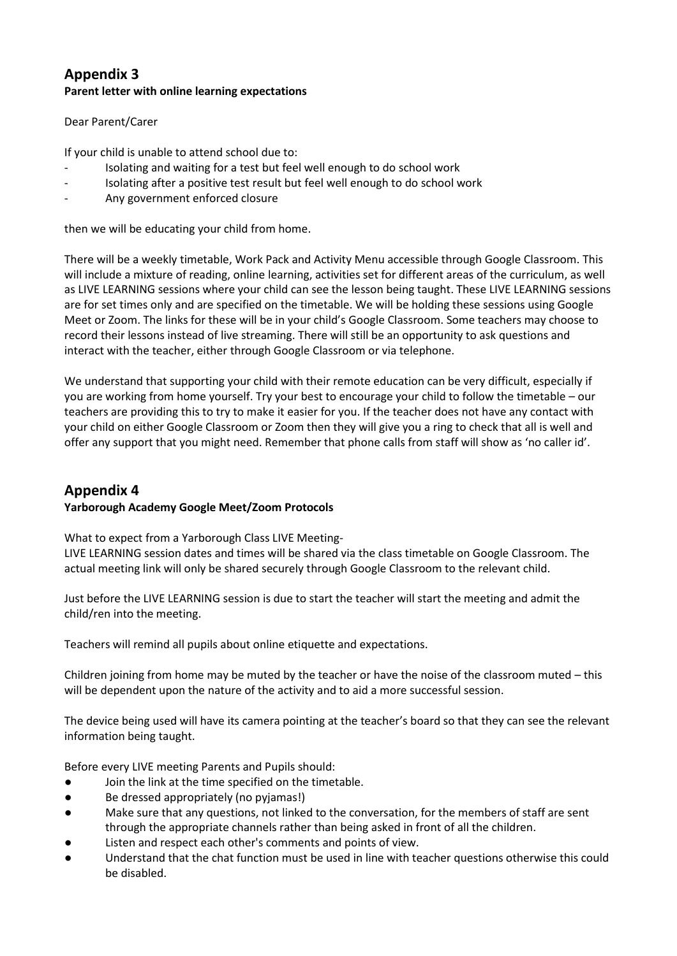### **Appendix 3 Parent letter with online learning expectations**

### Dear Parent/Carer

If your child is unable to attend school due to:

- Isolating and waiting for a test but feel well enough to do school work
- Isolating after a positive test result but feel well enough to do school work
- Any government enforced closure

then we will be educating your child from home.

There will be a weekly timetable, Work Pack and Activity Menu accessible through Google Classroom. This will include a mixture of reading, online learning, activities set for different areas of the curriculum, as well as LIVE LEARNING sessions where your child can see the lesson being taught. These LIVE LEARNING sessions are for set times only and are specified on the timetable. We will be holding these sessions using Google Meet or Zoom. The links for these will be in your child's Google Classroom. Some teachers may choose to record their lessons instead of live streaming. There will still be an opportunity to ask questions and interact with the teacher, either through Google Classroom or via telephone.

We understand that supporting your child with their remote education can be very difficult, especially if you are working from home yourself. Try your best to encourage your child to follow the timetable – our teachers are providing this to try to make it easier for you. If the teacher does not have any contact with your child on either Google Classroom or Zoom then they will give you a ring to check that all is well and offer any support that you might need. Remember that phone calls from staff will show as 'no caller id'.

### **Appendix 4 Yarborough Academy Google Meet/Zoom Protocols**

What to expect from a Yarborough Class LIVE Meeting-

LIVE LEARNING session dates and times will be shared via the class timetable on Google Classroom. The actual meeting link will only be shared securely through Google Classroom to the relevant child.

Just before the LIVE LEARNING session is due to start the teacher will start the meeting and admit the child/ren into the meeting.

Teachers will remind all pupils about online etiquette and expectations.

Children joining from home may be muted by the teacher or have the noise of the classroom muted – this will be dependent upon the nature of the activity and to aid a more successful session.

The device being used will have its camera pointing at the teacher's board so that they can see the relevant information being taught.

Before every LIVE meeting Parents and Pupils should:

- Join the link at the time specified on the timetable.
- Be dressed appropriately (no pyjamas!)
- Make sure that any questions, not linked to the conversation, for the members of staff are sent through the appropriate channels rather than being asked in front of all the children.
- Listen and respect each other's comments and points of view.
- Understand that the chat function must be used in line with teacher questions otherwise this could be disabled.